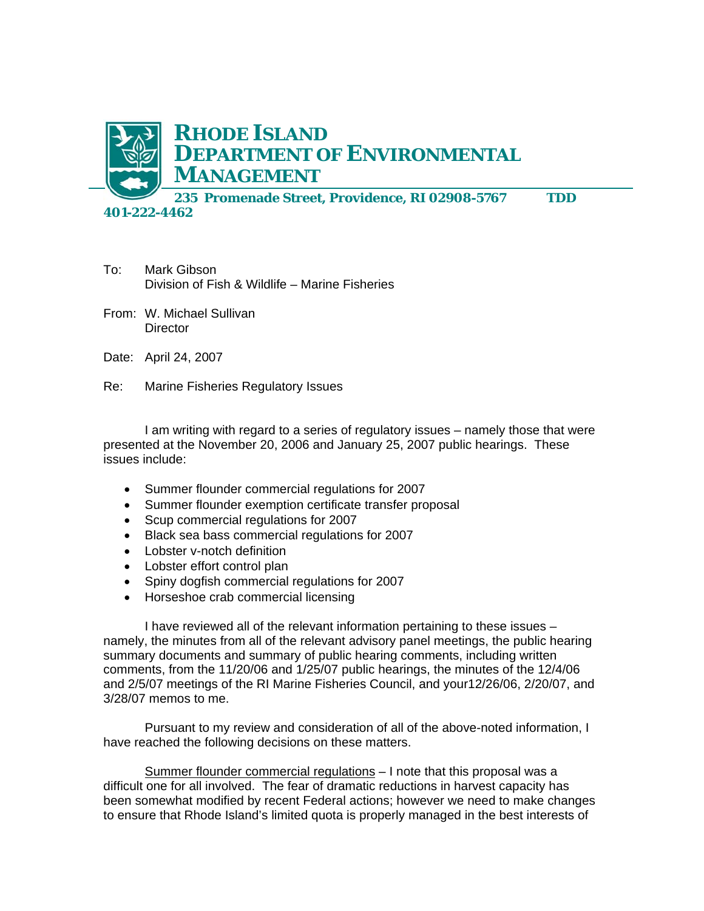

- To: Mark Gibson Division of Fish & Wildlife – Marine Fisheries
- From: W. Michael Sullivan **Director**
- Date: April 24, 2007
- Re: Marine Fisheries Regulatory Issues

I am writing with regard to a series of regulatory issues – namely those that were presented at the November 20, 2006 and January 25, 2007 public hearings. These issues include:

- Summer flounder commercial regulations for 2007
- Summer flounder exemption certificate transfer proposal
- Scup commercial regulations for 2007
- Black sea bass commercial regulations for 2007
- Lobster v-notch definition
- Lobster effort control plan
- Spiny dogfish commercial regulations for 2007
- Horseshoe crab commercial licensing

I have reviewed all of the relevant information pertaining to these issues – namely, the minutes from all of the relevant advisory panel meetings, the public hearing summary documents and summary of public hearing comments, including written comments, from the 11/20/06 and 1/25/07 public hearings, the minutes of the 12/4/06 and 2/5/07 meetings of the RI Marine Fisheries Council, and your12/26/06, 2/20/07, and 3/28/07 memos to me.

Pursuant to my review and consideration of all of the above-noted information, I have reached the following decisions on these matters.

Summer flounder commercial regulations - I note that this proposal was a difficult one for all involved. The fear of dramatic reductions in harvest capacity has been somewhat modified by recent Federal actions; however we need to make changes to ensure that Rhode Island's limited quota is properly managed in the best interests of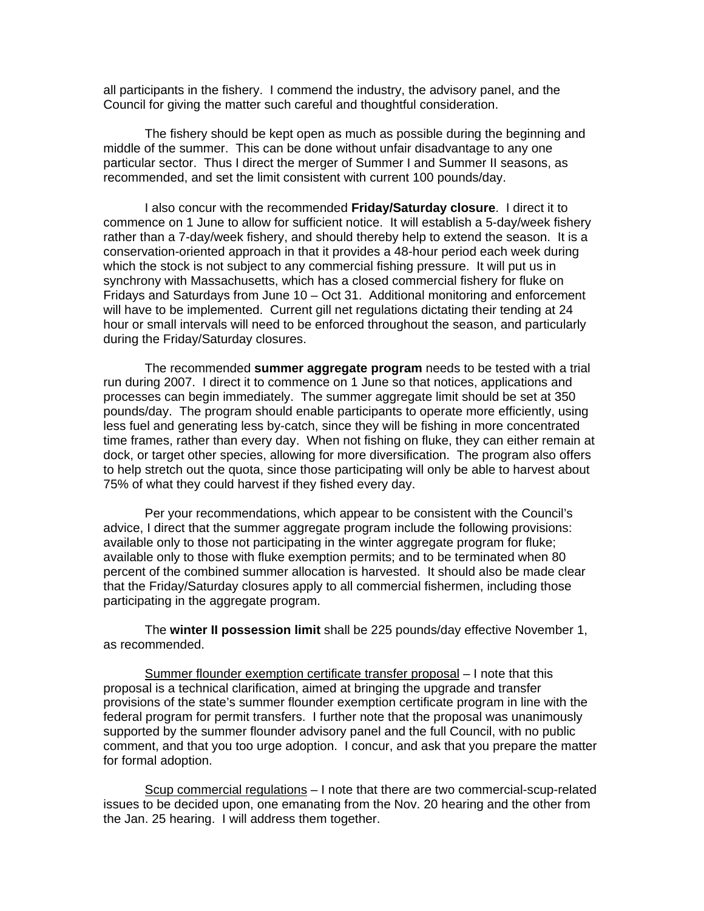all participants in the fishery. I commend the industry, the advisory panel, and the Council for giving the matter such careful and thoughtful consideration.

 The fishery should be kept open as much as possible during the beginning and middle of the summer. This can be done without unfair disadvantage to any one particular sector. Thus I direct the merger of Summer I and Summer II seasons, as recommended, and set the limit consistent with current 100 pounds/day.

I also concur with the recommended **Friday/Saturday closure**. I direct it to commence on 1 June to allow for sufficient notice. It will establish a 5-day/week fishery rather than a 7-day/week fishery, and should thereby help to extend the season. It is a conservation-oriented approach in that it provides a 48-hour period each week during which the stock is not subject to any commercial fishing pressure. It will put us in synchrony with Massachusetts, which has a closed commercial fishery for fluke on Fridays and Saturdays from June 10 – Oct 31. Additional monitoring and enforcement will have to be implemented. Current gill net regulations dictating their tending at 24 hour or small intervals will need to be enforced throughout the season, and particularly during the Friday/Saturday closures.

 The recommended **summer aggregate program** needs to be tested with a trial run during 2007. I direct it to commence on 1 June so that notices, applications and processes can begin immediately. The summer aggregate limit should be set at 350 pounds/day. The program should enable participants to operate more efficiently, using less fuel and generating less by-catch, since they will be fishing in more concentrated time frames, rather than every day. When not fishing on fluke, they can either remain at dock, or target other species, allowing for more diversification. The program also offers to help stretch out the quota, since those participating will only be able to harvest about 75% of what they could harvest if they fished every day.

 Per your recommendations, which appear to be consistent with the Council's advice, I direct that the summer aggregate program include the following provisions: available only to those not participating in the winter aggregate program for fluke; available only to those with fluke exemption permits; and to be terminated when 80 percent of the combined summer allocation is harvested. It should also be made clear that the Friday/Saturday closures apply to all commercial fishermen, including those participating in the aggregate program.

The **winter II possession limit** shall be 225 pounds/day effective November 1, as recommended.

Summer flounder exemption certificate transfer proposal – I note that this proposal is a technical clarification, aimed at bringing the upgrade and transfer provisions of the state's summer flounder exemption certificate program in line with the federal program for permit transfers. I further note that the proposal was unanimously supported by the summer flounder advisory panel and the full Council, with no public comment, and that you too urge adoption. I concur, and ask that you prepare the matter for formal adoption.

Scup commercial regulations – I note that there are two commercial-scup-related issues to be decided upon, one emanating from the Nov. 20 hearing and the other from the Jan. 25 hearing. I will address them together.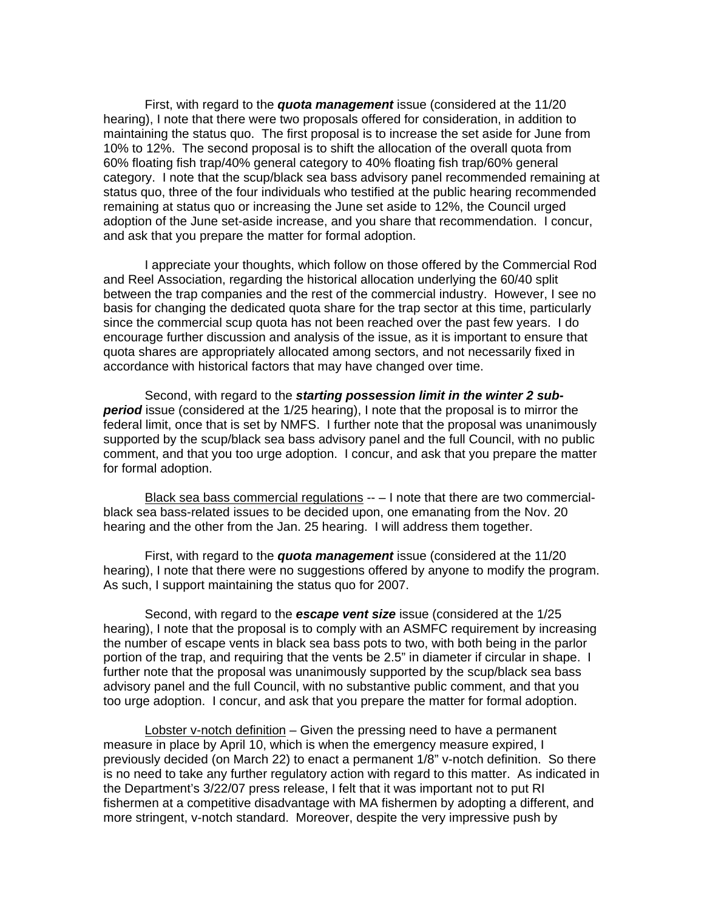First, with regard to the *quota management* issue (considered at the 11/20 hearing), I note that there were two proposals offered for consideration, in addition to maintaining the status quo. The first proposal is to increase the set aside for June from 10% to 12%. The second proposal is to shift the allocation of the overall quota from 60% floating fish trap/40% general category to 40% floating fish trap/60% general category. I note that the scup/black sea bass advisory panel recommended remaining at status quo, three of the four individuals who testified at the public hearing recommended remaining at status quo or increasing the June set aside to 12%, the Council urged adoption of the June set-aside increase, and you share that recommendation. I concur, and ask that you prepare the matter for formal adoption.

 I appreciate your thoughts, which follow on those offered by the Commercial Rod and Reel Association, regarding the historical allocation underlying the 60/40 split between the trap companies and the rest of the commercial industry. However, I see no basis for changing the dedicated quota share for the trap sector at this time, particularly since the commercial scup quota has not been reached over the past few years. I do encourage further discussion and analysis of the issue, as it is important to ensure that quota shares are appropriately allocated among sectors, and not necessarily fixed in accordance with historical factors that may have changed over time.

 Second, with regard to the *starting possession limit in the winter 2 subperiod* issue (considered at the 1/25 hearing), I note that the proposal is to mirror the federal limit, once that is set by NMFS. I further note that the proposal was unanimously supported by the scup/black sea bass advisory panel and the full Council, with no public comment, and that you too urge adoption. I concur, and ask that you prepare the matter for formal adoption.

Black sea bass commercial regulations -- – I note that there are two commercialblack sea bass-related issues to be decided upon, one emanating from the Nov. 20 hearing and the other from the Jan. 25 hearing. I will address them together.

 First, with regard to the *quota management* issue (considered at the 11/20 hearing), I note that there were no suggestions offered by anyone to modify the program. As such, I support maintaining the status quo for 2007.

 Second, with regard to the *escape vent size* issue (considered at the 1/25 hearing), I note that the proposal is to comply with an ASMFC requirement by increasing the number of escape vents in black sea bass pots to two, with both being in the parlor portion of the trap, and requiring that the vents be 2.5" in diameter if circular in shape. I further note that the proposal was unanimously supported by the scup/black sea bass advisory panel and the full Council, with no substantive public comment, and that you too urge adoption. I concur, and ask that you prepare the matter for formal adoption.

Lobster v-notch definition – Given the pressing need to have a permanent measure in place by April 10, which is when the emergency measure expired, I previously decided (on March 22) to enact a permanent 1/8" v-notch definition. So there is no need to take any further regulatory action with regard to this matter. As indicated in the Department's 3/22/07 press release, I felt that it was important not to put RI fishermen at a competitive disadvantage with MA fishermen by adopting a different, and more stringent, v-notch standard. Moreover, despite the very impressive push by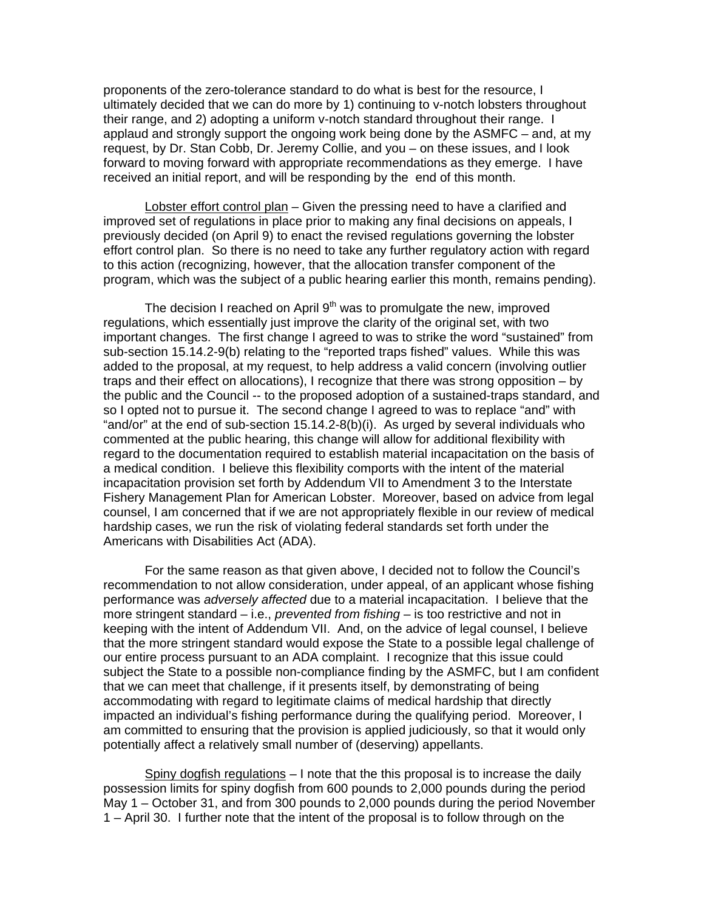proponents of the zero-tolerance standard to do what is best for the resource, I ultimately decided that we can do more by 1) continuing to v-notch lobsters throughout their range, and 2) adopting a uniform v-notch standard throughout their range. I applaud and strongly support the ongoing work being done by the ASMFC – and, at my request, by Dr. Stan Cobb, Dr. Jeremy Collie, and you – on these issues, and I look forward to moving forward with appropriate recommendations as they emerge. I have received an initial report, and will be responding by the end of this month.

Lobster effort control plan – Given the pressing need to have a clarified and improved set of regulations in place prior to making any final decisions on appeals, I previously decided (on April 9) to enact the revised regulations governing the lobster effort control plan. So there is no need to take any further regulatory action with regard to this action (recognizing, however, that the allocation transfer component of the program, which was the subject of a public hearing earlier this month, remains pending).

The decision I reached on April  $9<sup>th</sup>$  was to promulgate the new, improved regulations, which essentially just improve the clarity of the original set, with two important changes. The first change I agreed to was to strike the word "sustained" from sub-section 15.14.2-9(b) relating to the "reported traps fished" values. While this was added to the proposal, at my request, to help address a valid concern (involving outlier traps and their effect on allocations), I recognize that there was strong opposition – by the public and the Council -- to the proposed adoption of a sustained-traps standard, and so I opted not to pursue it. The second change I agreed to was to replace "and" with "and/or" at the end of sub-section 15.14.2-8(b)(i). As urged by several individuals who commented at the public hearing, this change will allow for additional flexibility with regard to the documentation required to establish material incapacitation on the basis of a medical condition. I believe this flexibility comports with the intent of the material incapacitation provision set forth by Addendum VII to Amendment 3 to the Interstate Fishery Management Plan for American Lobster. Moreover, based on advice from legal counsel, I am concerned that if we are not appropriately flexible in our review of medical hardship cases, we run the risk of violating federal standards set forth under the Americans with Disabilities Act (ADA).

 For the same reason as that given above, I decided not to follow the Council's recommendation to not allow consideration, under appeal, of an applicant whose fishing performance was *adversely affected* due to a material incapacitation. I believe that the more stringent standard – i.e., *prevented from fishing* – is too restrictive and not in keeping with the intent of Addendum VII. And, on the advice of legal counsel, I believe that the more stringent standard would expose the State to a possible legal challenge of our entire process pursuant to an ADA complaint. I recognize that this issue could subject the State to a possible non-compliance finding by the ASMFC, but I am confident that we can meet that challenge, if it presents itself, by demonstrating of being accommodating with regard to legitimate claims of medical hardship that directly impacted an individual's fishing performance during the qualifying period. Moreover, I am committed to ensuring that the provision is applied judiciously, so that it would only potentially affect a relatively small number of (deserving) appellants.

Spiny dogfish regulations – I note that the this proposal is to increase the daily possession limits for spiny dogfish from 600 pounds to 2,000 pounds during the period May 1 – October 31, and from 300 pounds to 2,000 pounds during the period November 1 – April 30. I further note that the intent of the proposal is to follow through on the